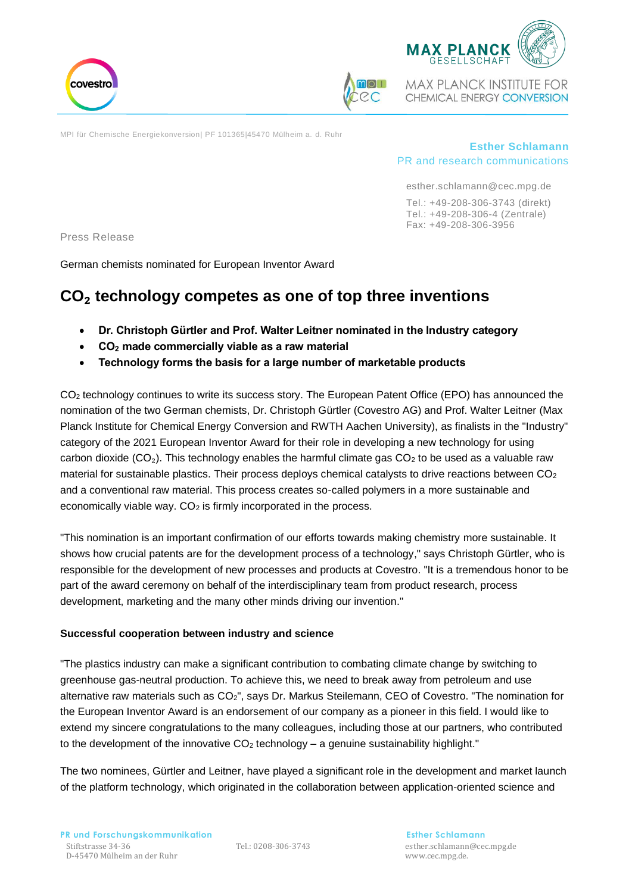



**MAX PLANCK INSTITUTE FOR** CHEMICAL ENERGY CONVERSION

MPI für Chemische Energiekonversion| PF 101365|45470 Mülheim a. d. Ruhr

# **Esther Schlamann** PR and research communications

esther.schlamann@cec.mpg.de Tel.: +49-208-306-3743 (direkt)

Tel.: +49-208-306-4 (Zentrale) Fax: +49-208-306-3956

Press Release

German chemists nominated for European Inventor Award

# **CO**₂ **technology competes as one of top three inventions**

- **Dr. Christoph Gürtler and Prof. Walter Leitner nominated in the Industry category**
- **CO<sup>2</sup> made commercially viable as a raw material**
- **Technology forms the basis for a large number of marketable products**

CO<sub>2</sub> technology continues to write its success story. The European Patent Office (EPO) has announced the nomination of the two German chemists, Dr. Christoph Gürtler (Covestro AG) and Prof. Walter Leitner (Max Planck Institute for Chemical Energy Conversion and RWTH Aachen University), as finalists in the "Industry" category of the 2021 European Inventor Award for their role in developing a new technology for using carbon dioxide ( $CO<sub>2</sub>$ ). This technology enables the harmful climate gas  $CO<sub>2</sub>$  to be used as a valuable raw material for sustainable plastics. Their process deploys chemical catalysts to drive reactions between CO<sub>2</sub> and a conventional raw material. This process creates so-called polymers in a more sustainable and economically viable way.  $CO<sub>2</sub>$  is firmly incorporated in the process.

"This nomination is an important confirmation of our efforts towards making chemistry more sustainable. It shows how crucial patents are for the development process of a technology," says Christoph Gürtler, who is responsible for the development of new processes and products at Covestro. "It is a tremendous honor to be part of the award ceremony on behalf of the interdisciplinary team from product research, process development, marketing and the many other minds driving our invention."

#### **Successful cooperation between industry and science**

"The plastics industry can make a significant contribution to combating climate change by switching to greenhouse gas-neutral production. To achieve this, we need to break away from petroleum and use alternative raw materials such as CO2", says Dr. Markus Steilemann, CEO of Covestro. "The nomination for the European Inventor Award is an endorsement of our company as a pioneer in this field. I would like to extend my sincere congratulations to the many colleagues, including those at our partners, who contributed to the development of the innovative  $CO<sub>2</sub>$  technology – a genuine sustainability highlight."

The two nominees, Gürtler and Leitner, have played a significant role in the development and market launch of the platform technology, which originated in the collaboration between application-oriented science and

Tel.: 0208-306-3743 esther.schlamann@cec.mpg.de www.cec.mpg.de.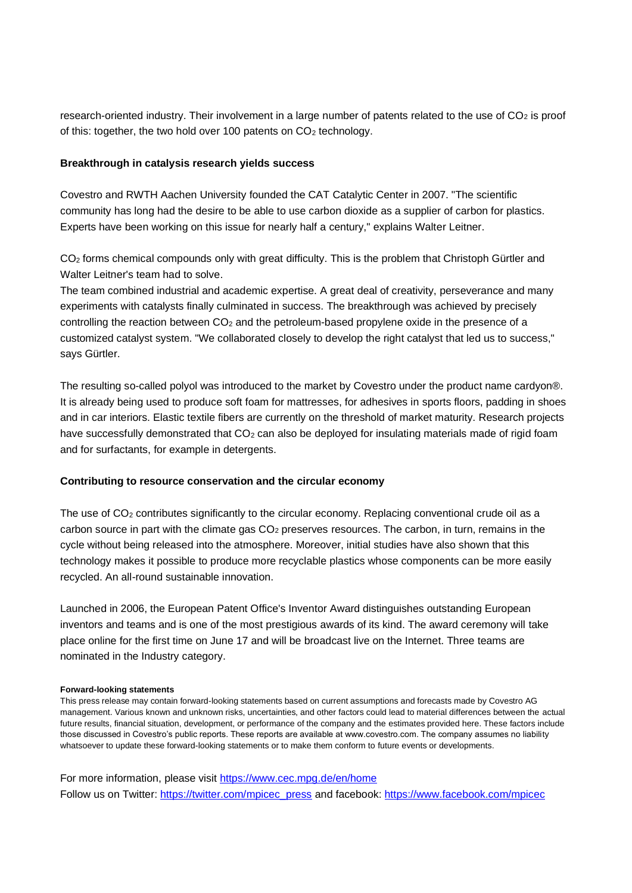research-oriented industry. Their involvement in a large number of patents related to the use of  $CO<sub>2</sub>$  is proof of this: together, the two hold over 100 patents on CO<sub>2</sub> technology.

# **Breakthrough in catalysis research yields success**

Covestro and RWTH Aachen University founded the CAT Catalytic Center in 2007. "The scientific community has long had the desire to be able to use carbon dioxide as a supplier of carbon for plastics. Experts have been working on this issue for nearly half a century," explains Walter Leitner.

CO<sub>2</sub> forms chemical compounds only with great difficulty. This is the problem that Christoph Gürtler and Walter Leitner's team had to solve.

The team combined industrial and academic expertise. A great deal of creativity, perseverance and many experiments with catalysts finally culminated in success. The breakthrough was achieved by precisely controlling the reaction between  $CO<sub>2</sub>$  and the petroleum-based propylene oxide in the presence of a customized catalyst system. "We collaborated closely to develop the right catalyst that led us to success," says Gürtler.

The resulting so-called polyol was introduced to the market by Covestro under the product name cardyon®. It is already being used to produce soft foam for mattresses, for adhesives in sports floors, padding in shoes and in car interiors. Elastic textile fibers are currently on the threshold of market maturity. Research projects have successfully demonstrated that CO<sub>2</sub> can also be deployed for insulating materials made of rigid foam and for surfactants, for example in detergents.

#### **Contributing to resource conservation and the circular economy**

The use of  $CO<sub>2</sub>$  contributes significantly to the circular economy. Replacing conventional crude oil as a carbon source in part with the climate gas  $CO<sub>2</sub>$  preserves resources. The carbon, in turn, remains in the cycle without being released into the atmosphere. Moreover, initial studies have also shown that this technology makes it possible to produce more recyclable plastics whose components can be more easily recycled. An all-round sustainable innovation.

Launched in 2006, the European Patent Office's Inventor Award distinguishes outstanding European inventors and teams and is one of the most prestigious awards of its kind. The award ceremony will take place online for the first time on June 17 and will be broadcast live on the Internet. Three teams are nominated in the Industry category.

#### **Forward-looking statements**

This press release may contain forward-looking statements based on current assumptions and forecasts made by Covestro AG management. Various known and unknown risks, uncertainties, and other factors could lead to material differences between the actual future results, financial situation, development, or performance of the company and the estimates provided here. These factors include those discussed in Covestro's public reports. These reports are available at www.covestro.com. The company assumes no liability whatsoever to update these forward-looking statements or to make them conform to future events or developments.

For more information, please visit <https://www.cec.mpg.de/en/home> Follow us on Twitter: [https://twitter.com/mpicec\\_press](https://twitter.com/mpicec_press) and facebook:<https://www.facebook.com/mpicec>